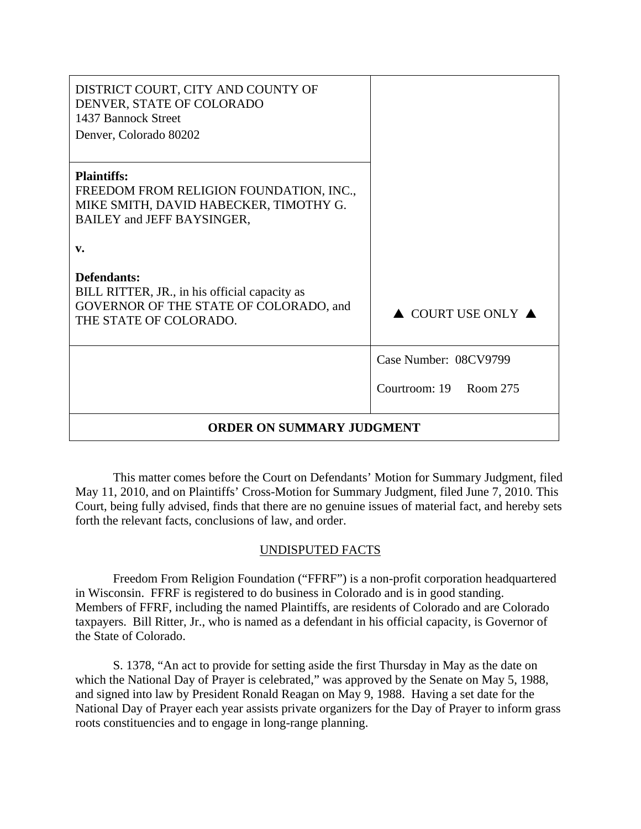| DISTRICT COURT, CITY AND COUNTY OF<br>DENVER, STATE OF COLORADO<br>1437 Bannock Street<br>Denver, Colorado 80202                      |                                        |
|---------------------------------------------------------------------------------------------------------------------------------------|----------------------------------------|
| <b>Plaintiffs:</b><br>FREEDOM FROM RELIGION FOUNDATION, INC.,<br>MIKE SMITH, DAVID HABECKER, TIMOTHY G.<br>BAILEY and JEFF BAYSINGER, |                                        |
| v.                                                                                                                                    |                                        |
| Defendants:<br>BILL RITTER, JR., in his official capacity as<br>GOVERNOR OF THE STATE OF COLORADO, and<br>THE STATE OF COLORADO.      | $\triangle$ COURT USE ONLY $\triangle$ |
|                                                                                                                                       | Case Number: 08CV9799                  |
|                                                                                                                                       | Courtroom: 19 Room 275                 |
| <b>ORDER ON SUMMARY JUDGMENT</b>                                                                                                      |                                        |

This matter comes before the Court on Defendants' Motion for Summary Judgment, filed May 11, 2010, and on Plaintiffs' Cross-Motion for Summary Judgment, filed June 7, 2010. This Court, being fully advised, finds that there are no genuine issues of material fact, and hereby sets forth the relevant facts, conclusions of law, and order.

# UNDISPUTED FACTS

Freedom From Religion Foundation ("FFRF") is a non-profit corporation headquartered in Wisconsin. FFRF is registered to do business in Colorado and is in good standing. Members of FFRF, including the named Plaintiffs, are residents of Colorado and are Colorado taxpayers. Bill Ritter, Jr., who is named as a defendant in his official capacity, is Governor of the State of Colorado.

S. 1378, "An act to provide for setting aside the first Thursday in May as the date on which the National Day of Prayer is celebrated," was approved by the Senate on May 5, 1988, and signed into law by President Ronald Reagan on May 9, 1988. Having a set date for the National Day of Prayer each year assists private organizers for the Day of Prayer to inform grass roots constituencies and to engage in long-range planning.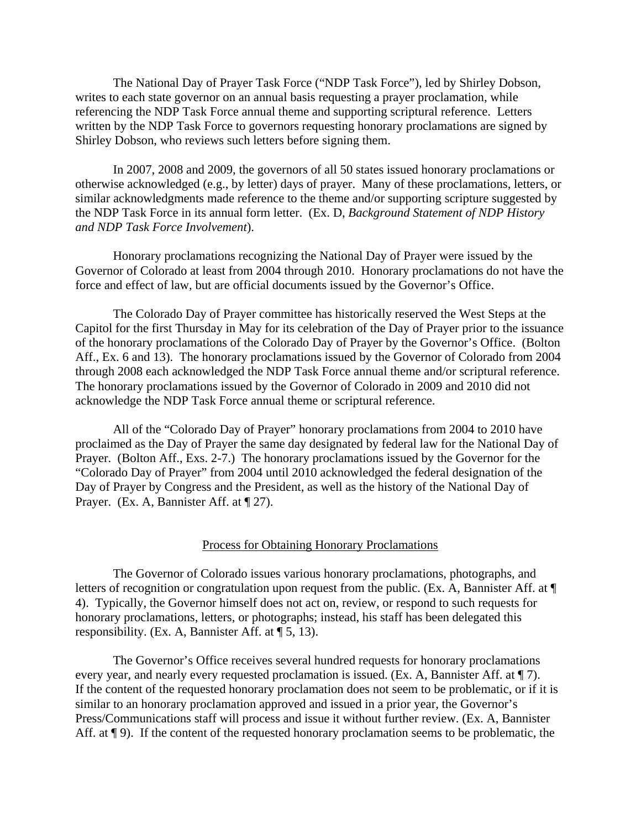The National Day of Prayer Task Force ("NDP Task Force"), led by Shirley Dobson, writes to each state governor on an annual basis requesting a prayer proclamation, while referencing the NDP Task Force annual theme and supporting scriptural reference. Letters written by the NDP Task Force to governors requesting honorary proclamations are signed by Shirley Dobson, who reviews such letters before signing them.

In 2007, 2008 and 2009, the governors of all 50 states issued honorary proclamations or otherwise acknowledged (e.g., by letter) days of prayer. Many of these proclamations, letters, or similar acknowledgments made reference to the theme and/or supporting scripture suggested by the NDP Task Force in its annual form letter. (Ex. D, *Background Statement of NDP History and NDP Task Force Involvement*).

Honorary proclamations recognizing the National Day of Prayer were issued by the Governor of Colorado at least from 2004 through 2010. Honorary proclamations do not have the force and effect of law, but are official documents issued by the Governor's Office.

The Colorado Day of Prayer committee has historically reserved the West Steps at the Capitol for the first Thursday in May for its celebration of the Day of Prayer prior to the issuance of the honorary proclamations of the Colorado Day of Prayer by the Governor's Office. (Bolton Aff., Ex. 6 and 13). The honorary proclamations issued by the Governor of Colorado from 2004 through 2008 each acknowledged the NDP Task Force annual theme and/or scriptural reference. The honorary proclamations issued by the Governor of Colorado in 2009 and 2010 did not acknowledge the NDP Task Force annual theme or scriptural reference.

All of the "Colorado Day of Prayer" honorary proclamations from 2004 to 2010 have proclaimed as the Day of Prayer the same day designated by federal law for the National Day of Prayer. (Bolton Aff., Exs. 2-7.) The honorary proclamations issued by the Governor for the "Colorado Day of Prayer" from 2004 until 2010 acknowledged the federal designation of the Day of Prayer by Congress and the President, as well as the history of the National Day of Prayer. (Ex. A, Bannister Aff. at  $\P$  27).

#### Process for Obtaining Honorary Proclamations

The Governor of Colorado issues various honorary proclamations, photographs, and letters of recognition or congratulation upon request from the public. (Ex. A, Bannister Aff. at ¶ 4). Typically, the Governor himself does not act on, review, or respond to such requests for honorary proclamations, letters, or photographs; instead, his staff has been delegated this responsibility. (Ex. A, Bannister Aff. at ¶ 5, 13).

The Governor's Office receives several hundred requests for honorary proclamations every year, and nearly every requested proclamation is issued. (Ex. A, Bannister Aff. at ¶ 7). If the content of the requested honorary proclamation does not seem to be problematic, or if it is similar to an honorary proclamation approved and issued in a prior year, the Governor's Press/Communications staff will process and issue it without further review. (Ex. A, Bannister Aff. at  $\P$  9). If the content of the requested honorary proclamation seems to be problematic, the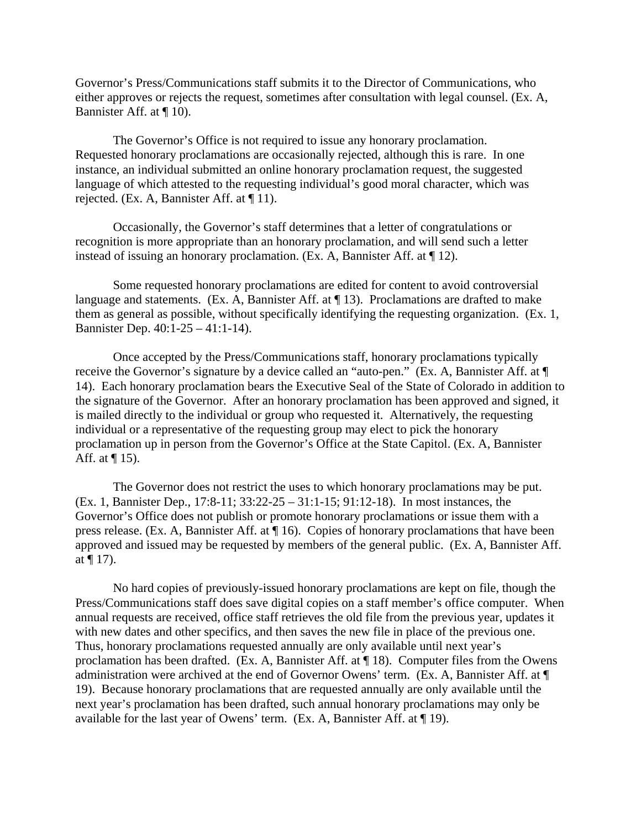Governor's Press/Communications staff submits it to the Director of Communications, who either approves or rejects the request, sometimes after consultation with legal counsel. (Ex. A, Bannister Aff. at ¶ 10).

The Governor's Office is not required to issue any honorary proclamation. Requested honorary proclamations are occasionally rejected, although this is rare. In one instance, an individual submitted an online honorary proclamation request, the suggested language of which attested to the requesting individual's good moral character, which was rejected. (Ex. A, Bannister Aff. at ¶ 11).

Occasionally, the Governor's staff determines that a letter of congratulations or recognition is more appropriate than an honorary proclamation, and will send such a letter instead of issuing an honorary proclamation. (Ex. A, Bannister Aff. at ¶ 12).

Some requested honorary proclamations are edited for content to avoid controversial language and statements. (Ex. A, Bannister Aff. at ¶ 13). Proclamations are drafted to make them as general as possible, without specifically identifying the requesting organization. (Ex. 1, Bannister Dep. 40:1-25 – 41:1-14).

Once accepted by the Press/Communications staff, honorary proclamations typically receive the Governor's signature by a device called an "auto-pen." (Ex. A, Bannister Aff. at ¶ 14). Each honorary proclamation bears the Executive Seal of the State of Colorado in addition to the signature of the Governor. After an honorary proclamation has been approved and signed, it is mailed directly to the individual or group who requested it. Alternatively, the requesting individual or a representative of the requesting group may elect to pick the honorary proclamation up in person from the Governor's Office at the State Capitol. (Ex. A, Bannister Aff. at  $\P$  15).

The Governor does not restrict the uses to which honorary proclamations may be put. (Ex. 1, Bannister Dep., 17:8-11; 33:22-25 – 31:1-15; 91:12-18). In most instances, the Governor's Office does not publish or promote honorary proclamations or issue them with a press release. (Ex. A, Bannister Aff. at ¶ 16). Copies of honorary proclamations that have been approved and issued may be requested by members of the general public. (Ex. A, Bannister Aff. at  $\P$  17).

No hard copies of previously-issued honorary proclamations are kept on file, though the Press/Communications staff does save digital copies on a staff member's office computer. When annual requests are received, office staff retrieves the old file from the previous year, updates it with new dates and other specifics, and then saves the new file in place of the previous one. Thus, honorary proclamations requested annually are only available until next year's proclamation has been drafted. (Ex. A, Bannister Aff. at ¶ 18). Computer files from the Owens administration were archived at the end of Governor Owens' term. (Ex. A, Bannister Aff. at ¶ 19). Because honorary proclamations that are requested annually are only available until the next year's proclamation has been drafted, such annual honorary proclamations may only be available for the last year of Owens' term. (Ex. A, Bannister Aff. at ¶ 19).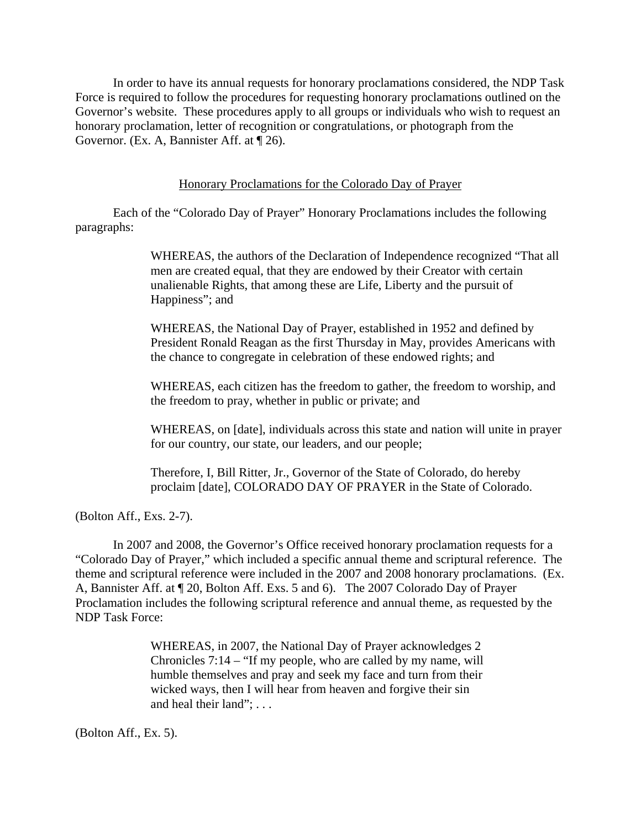In order to have its annual requests for honorary proclamations considered, the NDP Task Force is required to follow the procedures for requesting honorary proclamations outlined on the Governor's website. These procedures apply to all groups or individuals who wish to request an honorary proclamation, letter of recognition or congratulations, or photograph from the Governor. (Ex. A, Bannister Aff. at ¶ 26).

Honorary Proclamations for the Colorado Day of Prayer

Each of the "Colorado Day of Prayer" Honorary Proclamations includes the following paragraphs:

> WHEREAS, the authors of the Declaration of Independence recognized "That all men are created equal, that they are endowed by their Creator with certain unalienable Rights, that among these are Life, Liberty and the pursuit of Happiness"; and

> WHEREAS, the National Day of Prayer, established in 1952 and defined by President Ronald Reagan as the first Thursday in May, provides Americans with the chance to congregate in celebration of these endowed rights; and

> WHEREAS, each citizen has the freedom to gather, the freedom to worship, and the freedom to pray, whether in public or private; and

WHEREAS, on [date], individuals across this state and nation will unite in prayer for our country, our state, our leaders, and our people;

Therefore, I, Bill Ritter, Jr., Governor of the State of Colorado, do hereby proclaim [date], COLORADO DAY OF PRAYER in the State of Colorado.

(Bolton Aff., Exs. 2-7).

In 2007 and 2008, the Governor's Office received honorary proclamation requests for a "Colorado Day of Prayer," which included a specific annual theme and scriptural reference. The theme and scriptural reference were included in the 2007 and 2008 honorary proclamations. (Ex. A, Bannister Aff. at ¶ 20, Bolton Aff. Exs. 5 and 6). The 2007 Colorado Day of Prayer Proclamation includes the following scriptural reference and annual theme, as requested by the NDP Task Force:

> WHEREAS, in 2007, the National Day of Prayer acknowledges 2 Chronicles 7:14 – "If my people, who are called by my name, will humble themselves and pray and seek my face and turn from their wicked ways, then I will hear from heaven and forgive their sin and heal their land": ...

(Bolton Aff., Ex. 5).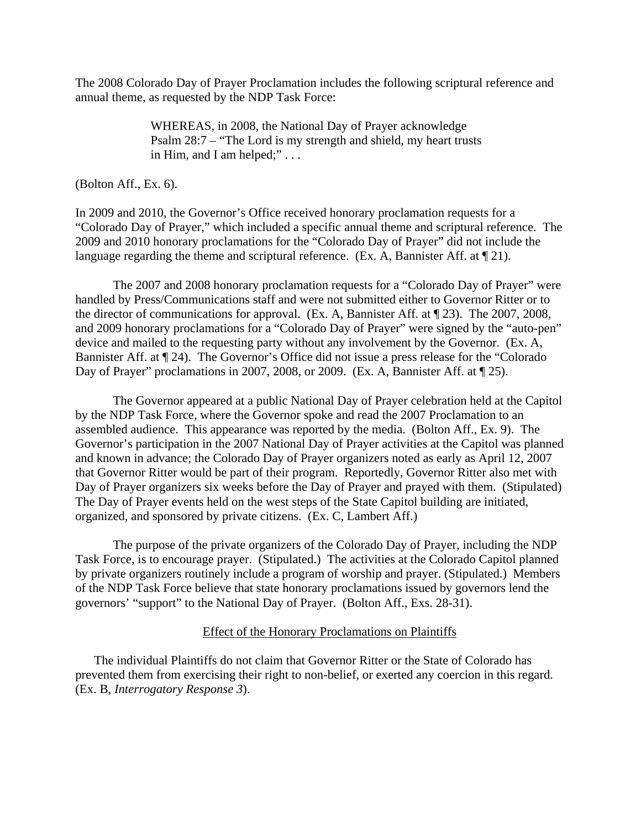The 2008 Colorado Day of Prayer Proclamation includes the following scriptural reference and annual theme, as requested by the NDP Task Force:

> WHEREAS, in 2008, the National Day of Prayer acknowledge Psalm 28:7 – "The Lord is my strength and shield, my heart trusts in Him, and I am helped;" . . .

(Bolton Aff., Ex. 6).

In 2009 and 2010, the Governor's Office received honorary proclamation requests for a "Colorado Day of Prayer," which included a specific annual theme and scriptural reference. The 2009 and 2010 honorary proclamations for the "Colorado Day of Prayer" did not include the language regarding the theme and scriptural reference. (Ex. A, Bannister Aff. at  $\P$  21).

The 2007 and 2008 honorary proclamation requests for a "Colorado Day of Prayer" were handled by Press/Communications staff and were not submitted either to Governor Ritter or to the director of communications for approval. (Ex. A, Bannister Aff. at ¶ 23). The 2007, 2008, and 2009 honorary proclamations for a "Colorado Day of Prayer" were signed by the "auto-pen" device and mailed to the requesting party without any involvement by the Governor. (Ex. A, Bannister Aff. at ¶ 24). The Governor's Office did not issue a press release for the "Colorado Day of Prayer" proclamations in 2007, 2008, or 2009. (Ex. A, Bannister Aff. at  $\P$  25).

The Governor appeared at a public National Day of Prayer celebration held at the Capitol by the NDP Task Force, where the Governor spoke and read the 2007 Proclamation to an assembled audience. This appearance was reported by the media. (Bolton Aff., Ex. 9). The Governor's participation in the 2007 National Day of Prayer activities at the Capitol was planned and known in advance; the Colorado Day of Prayer organizers noted as early as April 12, 2007 that Governor Ritter would be part of their program. Reportedly, Governor Ritter also met with Day of Prayer organizers six weeks before the Day of Prayer and prayed with them. (Stipulated) The Day of Prayer events held on the west steps of the State Capitol building are initiated, organized, and sponsored by private citizens. (Ex. C, Lambert Aff.)

The purpose of the private organizers of the Colorado Day of Prayer, including the NDP Task Force, is to encourage prayer. (Stipulated.) The activities at the Colorado Capitol planned by private organizers routinely include a program of worship and prayer. (Stipulated.) Members of the NDP Task Force believe that state honorary proclamations issued by governors lend the governors' "support" to the National Day of Prayer. (Bolton Aff., Exs. 28-31).

## Effect of the Honorary Proclamations on Plaintiffs

The individual Plaintiffs do not claim that Governor Ritter or the State of Colorado has prevented them from exercising their right to non-belief, or exerted any coercion in this regard. (Ex. B, *Interrogatory Response 3*).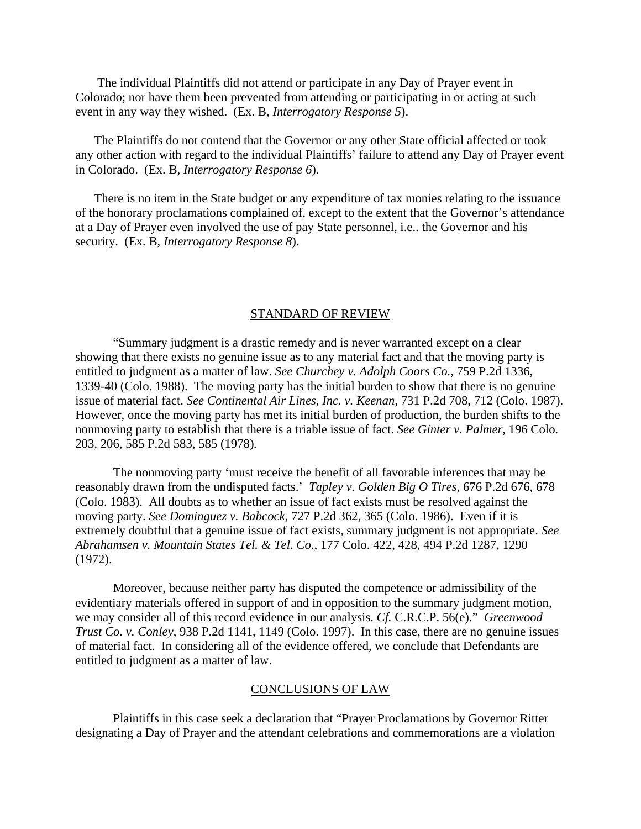The individual Plaintiffs did not attend or participate in any Day of Prayer event in Colorado; nor have them been prevented from attending or participating in or acting at such event in any way they wished. (Ex. B, *Interrogatory Response 5*).

The Plaintiffs do not contend that the Governor or any other State official affected or took any other action with regard to the individual Plaintiffs' failure to attend any Day of Prayer event in Colorado. (Ex. B, *Interrogatory Response 6*).

There is no item in the State budget or any expenditure of tax monies relating to the issuance of the honorary proclamations complained of, except to the extent that the Governor's attendance at a Day of Prayer even involved the use of pay State personnel, i.e.. the Governor and his security. (Ex. B, *Interrogatory Response 8*).

#### STANDARD OF REVIEW

"Summary judgment is a drastic remedy and is never warranted except on a clear showing that there exists no genuine issue as to any material fact and that the moving party is entitled to judgment as a matter of law. *See Churchey v. Adolph Coors Co.,* 759 P.2d 1336, 1339-40 (Colo. 1988).The moving party has the initial burden to show that there is no genuine issue of material fact. *See Continental Air Lines, Inc. v. Keenan,* 731 P.2d 708, 712 (Colo. 1987). However, once the moving party has met its initial burden of production, the burden shifts to the nonmoving party to establish that there is a triable issue of fact. *See Ginter v. Palmer,* 196 Colo. 203, 206, 585 P.2d 583, 585 (1978)*.* 

The nonmoving party 'must receive the benefit of all favorable inferences that may be reasonably drawn from the undisputed facts.' *Tapley v. Golden Big O Tires*, 676 P.2d 676, 678 (Colo. 1983). All doubts as to whether an issue of fact exists must be resolved against the moving party. *See Dominguez v. Babcock,* 727 P.2d 362, 365 (Colo. 1986). Even if it is extremely doubtful that a genuine issue of fact exists, summary judgment is not appropriate. *See Abrahamsen v. Mountain States Tel. & Tel. Co.,* 177 Colo. 422, 428, 494 P.2d 1287, 1290 (1972).

Moreover, because neither party has disputed the competence or admissibility of the evidentiary materials offered in support of and in opposition to the summary judgment motion, we may consider all of this record evidence in our analysis. *Cf.* C.R.C.P. 56(e)." *Greenwood Trust Co. v. Conley*, 938 P.2d 1141, 1149 (Colo. 1997). In this case, there are no genuine issues of material fact. In considering all of the evidence offered, we conclude that Defendants are entitled to judgment as a matter of law.

#### CONCLUSIONS OF LAW

 Plaintiffs in this case seek a declaration that "Prayer Proclamations by Governor Ritter designating a Day of Prayer and the attendant celebrations and commemorations are a violation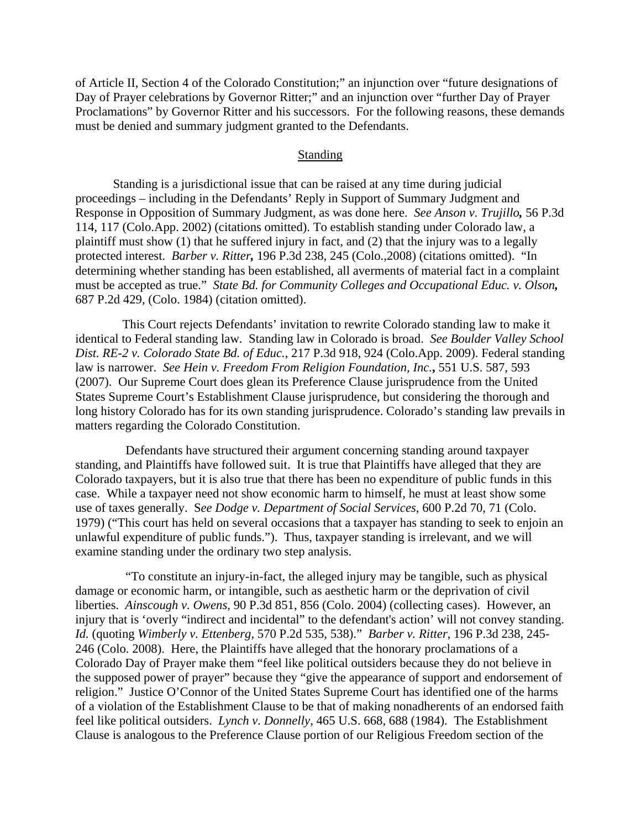of Article II, Section 4 of the Colorado Constitution;" an injunction over "future designations of Day of Prayer celebrations by Governor Ritter;" and an injunction over "further Day of Prayer Proclamations" by Governor Ritter and his successors. For the following reasons, these demands must be denied and summary judgment granted to the Defendants.

## **Standing**

Standing is a jurisdictional issue that can be raised at any time during judicial proceedings – including in the Defendants' Reply in Support of Summary Judgment and Response in Opposition of Summary Judgment, as was done here. *See Anson v. Trujillo,* 56 P.3d 114, 117 (Colo.App. 2002) (citations omitted). To establish standing under Colorado law, a plaintiff must show (1) that he suffered injury in fact, and (2) that the injury was to a legally protected interest. *Barber v. Ritter,* 196 P.3d 238, 245 (Colo.,2008) (citations omitted). "In determining whether standing has been established, all averments of material fact in a complaint must be accepted as true." *State Bd. for Community Colleges and Occupational Educ. v. Olson,* 687 P.2d 429, (Colo. 1984) (citation omitted).

 This Court rejects Defendants' invitation to rewrite Colorado standing law to make it identical to Federal standing law. Standing law in Colorado is broad. *See Boulder Valley School Dist. RE-2 v. Colorado State Bd. of Educ.*, 217 P.3d 918, 924 (Colo.App. 2009). Federal standing law is narrower. *See Hein v. Freedom From Religion Foundation, Inc.*, 551 U.S. 587, 593 (2007). Our Supreme Court does glean its Preference Clause jurisprudence from the United States Supreme Court's Establishment Clause jurisprudence, but considering the thorough and long history Colorado has for its own standing jurisprudence. Colorado's standing law prevails in matters regarding the Colorado Constitution.

 Defendants have structured their argument concerning standing around taxpayer standing, and Plaintiffs have followed suit. It is true that Plaintiffs have alleged that they are Colorado taxpayers, but it is also true that there has been no expenditure of public funds in this case. While a taxpayer need not show economic harm to himself, he must at least show some use of taxes generally. S*ee Dodge v. Department of Social Services*, 600 P.2d 70, 71 (Colo. 1979) ("This court has held on several occasions that a taxpayer has standing to seek to enjoin an unlawful expenditure of public funds."). Thus, taxpayer standing is irrelevant, and we will examine standing under the ordinary two step analysis.

 "To constitute an injury-in-fact, the alleged injury may be tangible, such as physical damage or economic harm, or intangible, such as aesthetic harm or the deprivation of civil liberties. *Ainscough v. Owens,* 90 P.3d 851, 856 (Colo. 2004) (collecting cases). However, an injury that is 'overly "indirect and incidental" to the defendant's action' will not convey standing. *Id.* (quoting *Wimberly v. Ettenberg,* 570 P.2d 535, 538)." *Barber v. Ritter*, 196 P.3d 238, 245- 246 (Colo. 2008). Here, the Plaintiffs have alleged that the honorary proclamations of a Colorado Day of Prayer make them "feel like political outsiders because they do not believe in the supposed power of prayer" because they "give the appearance of support and endorsement of religion." Justice O'Connor of the United States Supreme Court has identified one of the harms of a violation of the Establishment Clause to be that of making nonadherents of an endorsed faith feel like political outsiders. *Lynch v. Donnelly*, 465 U.S. 668, 688 (1984). The Establishment Clause is analogous to the Preference Clause portion of our Religious Freedom section of the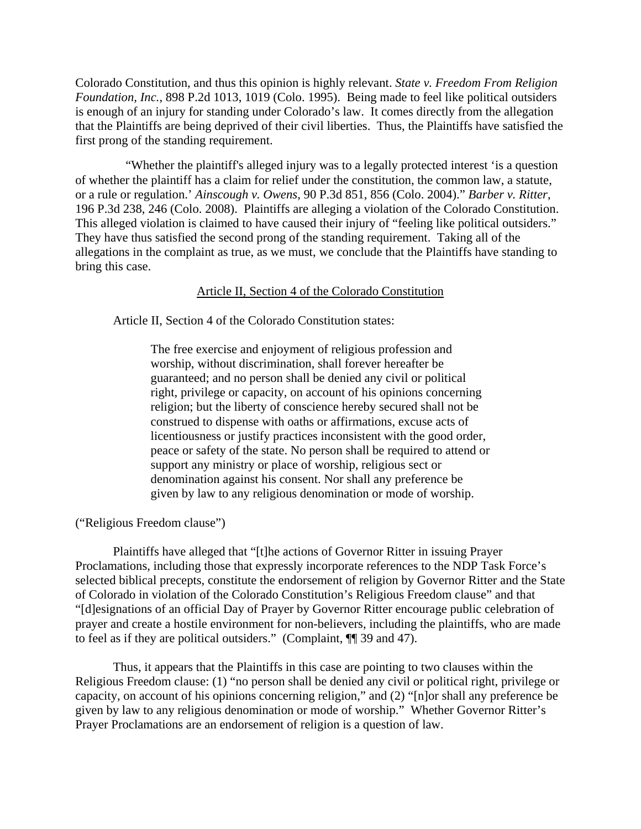Colorado Constitution, and thus this opinion is highly relevant. *State v. Freedom From Religion Foundation, Inc.*, 898 P.2d 1013, 1019 (Colo. 1995). Being made to feel like political outsiders is enough of an injury for standing under Colorado's law. It comes directly from the allegation that the Plaintiffs are being deprived of their civil liberties. Thus, the Plaintiffs have satisfied the first prong of the standing requirement.

 "Whether the plaintiff's alleged injury was to a legally protected interest 'is a question of whether the plaintiff has a claim for relief under the constitution, the common law, a statute, or a rule or regulation.' *Ainscough v. Owens,* 90 P.3d 851, 856 (Colo. 2004)." *Barber v. Ritter*, 196 P.3d 238, 246 (Colo. 2008). Plaintiffs are alleging a violation of the Colorado Constitution. This alleged violation is claimed to have caused their injury of "feeling like political outsiders." They have thus satisfied the second prong of the standing requirement. Taking all of the allegations in the complaint as true, as we must, we conclude that the Plaintiffs have standing to bring this case.

## Article II, Section 4 of the Colorado Constitution

Article II, Section 4 of the Colorado Constitution states:

The free exercise and enjoyment of religious profession and worship, without discrimination, shall forever hereafter be guaranteed; and no person shall be denied any civil or political right, privilege or capacity, on account of his opinions concerning religion; but the liberty of conscience hereby secured shall not be construed to dispense with oaths or affirmations, excuse acts of licentiousness or justify practices inconsistent with the good order, peace or safety of the state. No person shall be required to attend or support any ministry or place of worship, religious sect or denomination against his consent. Nor shall any preference be given by law to any religious denomination or mode of worship.

("Religious Freedom clause")

Plaintiffs have alleged that "[t]he actions of Governor Ritter in issuing Prayer Proclamations, including those that expressly incorporate references to the NDP Task Force's selected biblical precepts, constitute the endorsement of religion by Governor Ritter and the State of Colorado in violation of the Colorado Constitution's Religious Freedom clause" and that "[d]esignations of an official Day of Prayer by Governor Ritter encourage public celebration of prayer and create a hostile environment for non-believers, including the plaintiffs, who are made to feel as if they are political outsiders." (Complaint, ¶¶ 39 and 47).

Thus, it appears that the Plaintiffs in this case are pointing to two clauses within the Religious Freedom clause: (1) "no person shall be denied any civil or political right, privilege or capacity, on account of his opinions concerning religion," and (2) "[n]or shall any preference be given by law to any religious denomination or mode of worship." Whether Governor Ritter's Prayer Proclamations are an endorsement of religion is a question of law.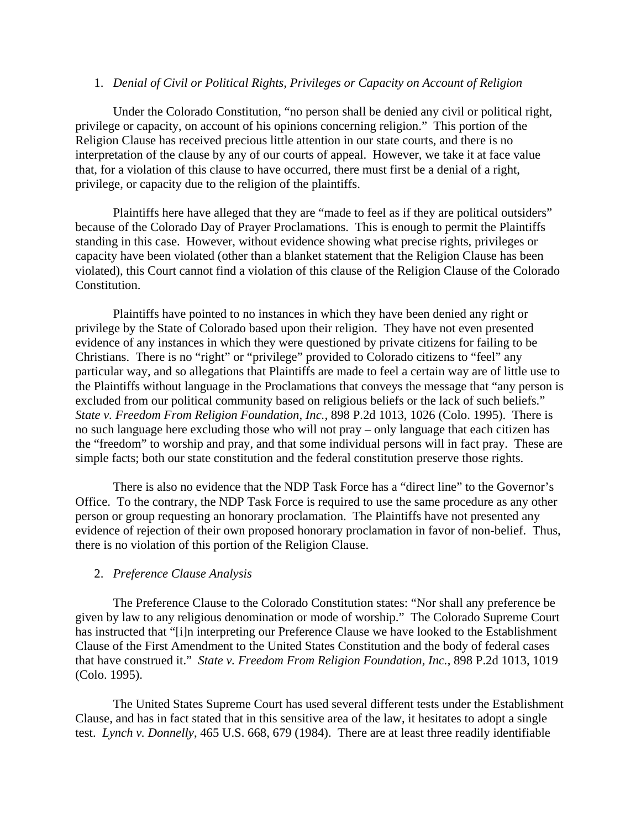# 1. *Denial of Civil or Political Rights, Privileges or Capacity on Account of Religion*

 Under the Colorado Constitution, "no person shall be denied any civil or political right, privilege or capacity, on account of his opinions concerning religion." This portion of the Religion Clause has received precious little attention in our state courts, and there is no interpretation of the clause by any of our courts of appeal. However, we take it at face value that, for a violation of this clause to have occurred, there must first be a denial of a right, privilege, or capacity due to the religion of the plaintiffs.

Plaintiffs here have alleged that they are "made to feel as if they are political outsiders" because of the Colorado Day of Prayer Proclamations. This is enough to permit the Plaintiffs standing in this case. However, without evidence showing what precise rights, privileges or capacity have been violated (other than a blanket statement that the Religion Clause has been violated), this Court cannot find a violation of this clause of the Religion Clause of the Colorado Constitution.

Plaintiffs have pointed to no instances in which they have been denied any right or privilege by the State of Colorado based upon their religion. They have not even presented evidence of any instances in which they were questioned by private citizens for failing to be Christians. There is no "right" or "privilege" provided to Colorado citizens to "feel" any particular way, and so allegations that Plaintiffs are made to feel a certain way are of little use to the Plaintiffs without language in the Proclamations that conveys the message that "any person is excluded from our political community based on religious beliefs or the lack of such beliefs." *State v. Freedom From Religion Foundation, Inc.,* 898 P.2d 1013, 1026 (Colo. 1995). There is no such language here excluding those who will not pray – only language that each citizen has the "freedom" to worship and pray, and that some individual persons will in fact pray. These are simple facts; both our state constitution and the federal constitution preserve those rights.

 There is also no evidence that the NDP Task Force has a "direct line" to the Governor's Office. To the contrary, the NDP Task Force is required to use the same procedure as any other person or group requesting an honorary proclamation. The Plaintiffs have not presented any evidence of rejection of their own proposed honorary proclamation in favor of non-belief. Thus, there is no violation of this portion of the Religion Clause.

# 2. *Preference Clause Analysis*

 The Preference Clause to the Colorado Constitution states: "Nor shall any preference be given by law to any religious denomination or mode of worship." The Colorado Supreme Court has instructed that "[i]n interpreting our Preference Clause we have looked to the Establishment Clause of the First Amendment to the United States Constitution and the body of federal cases that have construed it." *State v. Freedom From Religion Foundation, Inc.*, 898 P.2d 1013, 1019 (Colo. 1995).

The United States Supreme Court has used several different tests under the Establishment Clause, and has in fact stated that in this sensitive area of the law, it hesitates to adopt a single test. *Lynch v. Donnelly*, 465 U.S. 668, 679 (1984). There are at least three readily identifiable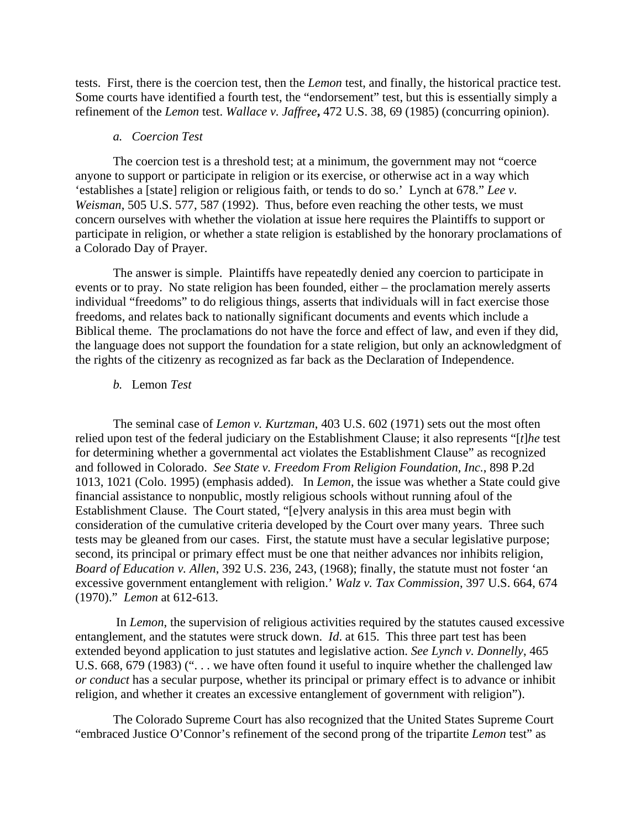tests. First, there is the coercion test, then the *Lemon* test, and finally, the historical practice test. Some courts have identified a fourth test, the "endorsement" test, but this is essentially simply a refinement of the *Lemon* test. *Wallace v. Jaffree***,** 472 U.S. 38, 69 (1985) (concurring opinion).

#### *a. Coercion Test*

The coercion test is a threshold test; at a minimum, the government may not "coerce anyone to support or participate in religion or its exercise, or otherwise act in a way which 'establishes a [state] religion or religious faith, or tends to do so.' Lynch at 678." *Lee v. Weisman*, 505 U.S. 577, 587 (1992). Thus, before even reaching the other tests, we must concern ourselves with whether the violation at issue here requires the Plaintiffs to support or participate in religion, or whether a state religion is established by the honorary proclamations of a Colorado Day of Prayer.

The answer is simple. Plaintiffs have repeatedly denied any coercion to participate in events or to pray. No state religion has been founded, either – the proclamation merely asserts individual "freedoms" to do religious things, asserts that individuals will in fact exercise those freedoms, and relates back to nationally significant documents and events which include a Biblical theme. The proclamations do not have the force and effect of law, and even if they did, the language does not support the foundation for a state religion, but only an acknowledgment of the rights of the citizenry as recognized as far back as the Declaration of Independence.

### *b.* Lemon *Test*

The seminal case of *Lemon v. Kurtzman*, 403 U.S. 602 (1971) sets out the most often relied upon test of the federal judiciary on the Establishment Clause; it also represents "[*t*]*he* test for determining whether a governmental act violates the Establishment Clause" as recognized and followed in Colorado. *See State v. Freedom From Religion Foundation, Inc.*, 898 P.2d 1013, 1021 (Colo. 1995) (emphasis added). In *Lemon*, the issue was whether a State could give financial assistance to nonpublic, mostly religious schools without running afoul of the Establishment Clause. The Court stated, "[e]very analysis in this area must begin with consideration of the cumulative criteria developed by the Court over many years. Three such tests may be gleaned from our cases. First, the statute must have a secular legislative purpose; second, its principal or primary effect must be one that neither advances nor inhibits religion, *Board of Education v. Allen*, 392 U.S. 236, 243, (1968); finally, the statute must not foster 'an excessive government entanglement with religion.' *Walz v. Tax Commission*, 397 U.S. 664, 674 (1970)." *Lemon* at 612-613.

 In *Lemon*, the supervision of religious activities required by the statutes caused excessive entanglement, and the statutes were struck down. *Id*. at 615. This three part test has been extended beyond application to just statutes and legislative action. *See Lynch v. Donnelly*, 465 U.S. 668, 679 (1983) ("... we have often found it useful to inquire whether the challenged law *or conduct* has a secular purpose, whether its principal or primary effect is to advance or inhibit religion, and whether it creates an excessive entanglement of government with religion").

The Colorado Supreme Court has also recognized that the United States Supreme Court "embraced Justice O'Connor's refinement of the second prong of the tripartite *Lemon* test" as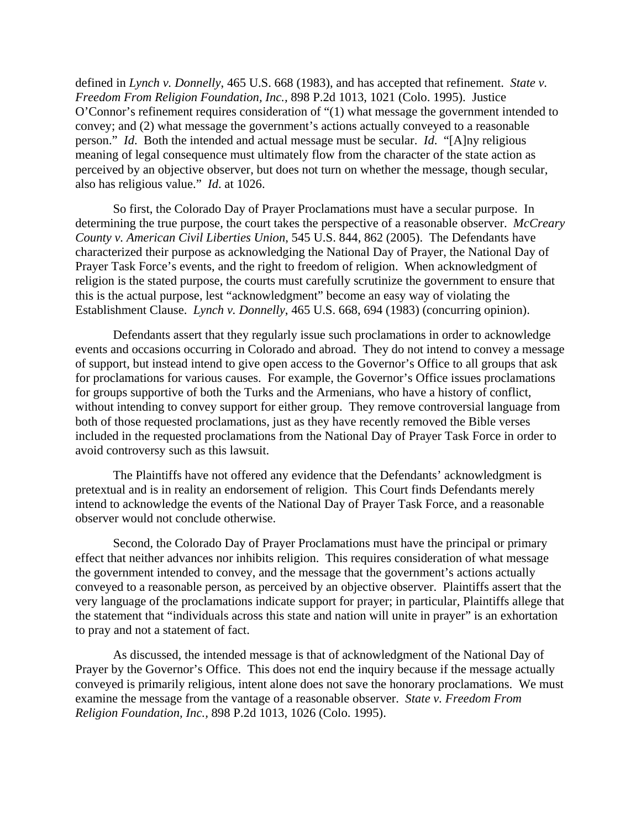defined in *Lynch v. Donnelly*, 465 U.S. 668 (1983), and has accepted that refinement. *State v. Freedom From Religion Foundation, Inc.,* 898 P.2d 1013, 1021 (Colo. 1995). Justice O'Connor's refinement requires consideration of "(1) what message the government intended to convey; and (2) what message the government's actions actually conveyed to a reasonable person." *Id*. Both the intended and actual message must be secular. *Id*. "[A]ny religious meaning of legal consequence must ultimately flow from the character of the state action as perceived by an objective observer, but does not turn on whether the message, though secular, also has religious value." *Id*. at 1026.

So first, the Colorado Day of Prayer Proclamations must have a secular purpose. In determining the true purpose, the court takes the perspective of a reasonable observer. *McCreary County v. American Civil Liberties Union*, 545 U.S. 844, 862 (2005). The Defendants have characterized their purpose as acknowledging the National Day of Prayer, the National Day of Prayer Task Force's events, and the right to freedom of religion. When acknowledgment of religion is the stated purpose, the courts must carefully scrutinize the government to ensure that this is the actual purpose, lest "acknowledgment" become an easy way of violating the Establishment Clause. *Lynch v. Donnelly*, 465 U.S. 668, 694 (1983) (concurring opinion).

Defendants assert that they regularly issue such proclamations in order to acknowledge events and occasions occurring in Colorado and abroad. They do not intend to convey a message of support, but instead intend to give open access to the Governor's Office to all groups that ask for proclamations for various causes. For example, the Governor's Office issues proclamations for groups supportive of both the Turks and the Armenians, who have a history of conflict, without intending to convey support for either group. They remove controversial language from both of those requested proclamations, just as they have recently removed the Bible verses included in the requested proclamations from the National Day of Prayer Task Force in order to avoid controversy such as this lawsuit.

The Plaintiffs have not offered any evidence that the Defendants' acknowledgment is pretextual and is in reality an endorsement of religion. This Court finds Defendants merely intend to acknowledge the events of the National Day of Prayer Task Force, and a reasonable observer would not conclude otherwise.

Second, the Colorado Day of Prayer Proclamations must have the principal or primary effect that neither advances nor inhibits religion. This requires consideration of what message the government intended to convey, and the message that the government's actions actually conveyed to a reasonable person, as perceived by an objective observer. Plaintiffs assert that the very language of the proclamations indicate support for prayer; in particular, Plaintiffs allege that the statement that "individuals across this state and nation will unite in prayer" is an exhortation to pray and not a statement of fact.

As discussed, the intended message is that of acknowledgment of the National Day of Prayer by the Governor's Office. This does not end the inquiry because if the message actually conveyed is primarily religious, intent alone does not save the honorary proclamations. We must examine the message from the vantage of a reasonable observer. *State v. Freedom From Religion Foundation, Inc.,* 898 P.2d 1013, 1026 (Colo. 1995).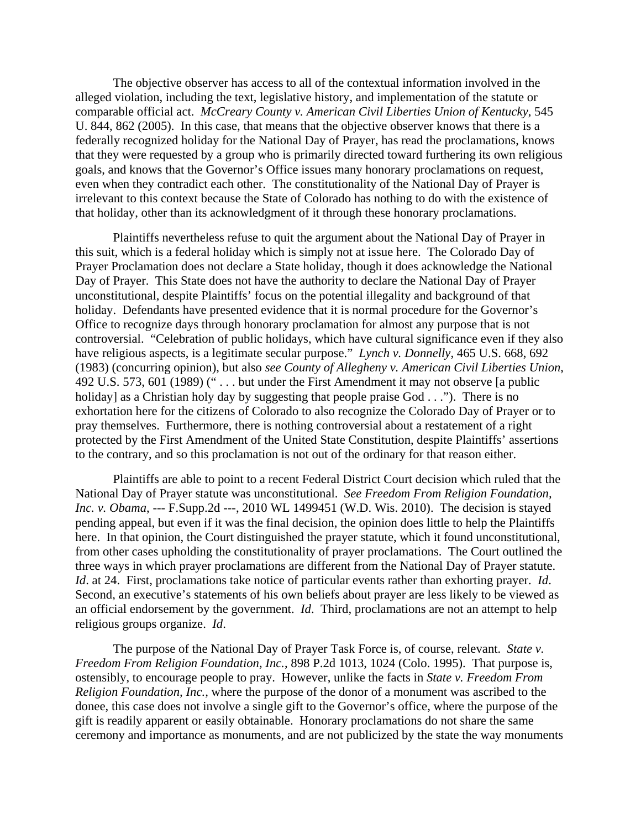The objective observer has access to all of the contextual information involved in the alleged violation, including the text, legislative history, and implementation of the statute or comparable official act. *McCreary County v. American Civil Liberties Union of Kentucky*, 545 U. 844, 862 (2005). In this case, that means that the objective observer knows that there is a federally recognized holiday for the National Day of Prayer, has read the proclamations, knows that they were requested by a group who is primarily directed toward furthering its own religious goals, and knows that the Governor's Office issues many honorary proclamations on request, even when they contradict each other. The constitutionality of the National Day of Prayer is irrelevant to this context because the State of Colorado has nothing to do with the existence of that holiday, other than its acknowledgment of it through these honorary proclamations.

Plaintiffs nevertheless refuse to quit the argument about the National Day of Prayer in this suit, which is a federal holiday which is simply not at issue here. The Colorado Day of Prayer Proclamation does not declare a State holiday, though it does acknowledge the National Day of Prayer. This State does not have the authority to declare the National Day of Prayer unconstitutional, despite Plaintiffs' focus on the potential illegality and background of that holiday. Defendants have presented evidence that it is normal procedure for the Governor's Office to recognize days through honorary proclamation for almost any purpose that is not controversial. "Celebration of public holidays, which have cultural significance even if they also have religious aspects, is a legitimate secular purpose." *Lynch v. Donnelly*, 465 U.S. 668, 692 (1983) (concurring opinion), but also *see County of Allegheny v. American Civil Liberties Union*, 492 U.S. 573, 601 (1989) (" . . . but under the First Amendment it may not observe [a public holiday] as a Christian holy day by suggesting that people praise God . . ."). There is no exhortation here for the citizens of Colorado to also recognize the Colorado Day of Prayer or to pray themselves. Furthermore, there is nothing controversial about a restatement of a right protected by the First Amendment of the United State Constitution, despite Plaintiffs' assertions to the contrary, and so this proclamation is not out of the ordinary for that reason either.

Plaintiffs are able to point to a recent Federal District Court decision which ruled that the National Day of Prayer statute was unconstitutional. *See Freedom From Religion Foundation, Inc. v. Obama*, --- F.Supp.2d ---, 2010 WL 1499451 (W.D. Wis. 2010). The decision is stayed pending appeal, but even if it was the final decision, the opinion does little to help the Plaintiffs here. In that opinion, the Court distinguished the prayer statute, which it found unconstitutional, from other cases upholding the constitutionality of prayer proclamations. The Court outlined the three ways in which prayer proclamations are different from the National Day of Prayer statute. *Id*. at 24. First, proclamations take notice of particular events rather than exhorting prayer. *Id*. Second, an executive's statements of his own beliefs about prayer are less likely to be viewed as an official endorsement by the government. *Id*. Third, proclamations are not an attempt to help religious groups organize. *Id*.

The purpose of the National Day of Prayer Task Force is, of course, relevant. *State v. Freedom From Religion Foundation, Inc.*, 898 P.2d 1013, 1024 (Colo. 1995). That purpose is, ostensibly, to encourage people to pray. However, unlike the facts in *State v. Freedom From Religion Foundation, Inc.,* where the purpose of the donor of a monument was ascribed to the donee, this case does not involve a single gift to the Governor's office, where the purpose of the gift is readily apparent or easily obtainable. Honorary proclamations do not share the same ceremony and importance as monuments, and are not publicized by the state the way monuments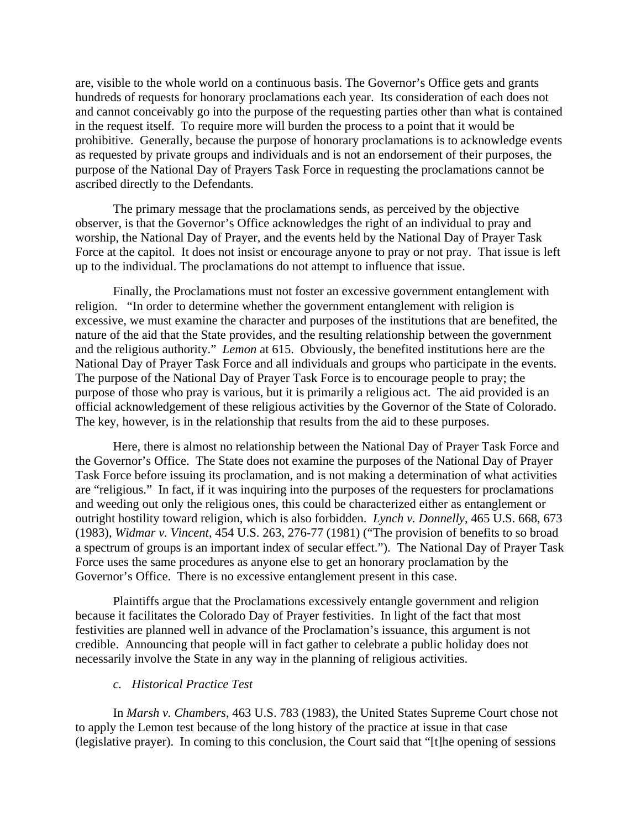are, visible to the whole world on a continuous basis. The Governor's Office gets and grants hundreds of requests for honorary proclamations each year. Its consideration of each does not and cannot conceivably go into the purpose of the requesting parties other than what is contained in the request itself. To require more will burden the process to a point that it would be prohibitive. Generally, because the purpose of honorary proclamations is to acknowledge events as requested by private groups and individuals and is not an endorsement of their purposes, the purpose of the National Day of Prayers Task Force in requesting the proclamations cannot be ascribed directly to the Defendants.

The primary message that the proclamations sends, as perceived by the objective observer, is that the Governor's Office acknowledges the right of an individual to pray and worship, the National Day of Prayer, and the events held by the National Day of Prayer Task Force at the capitol. It does not insist or encourage anyone to pray or not pray. That issue is left up to the individual. The proclamations do not attempt to influence that issue.

Finally, the Proclamations must not foster an excessive government entanglement with religion. "In order to determine whether the government entanglement with religion is excessive, we must examine the character and purposes of the institutions that are benefited, the nature of the aid that the State provides, and the resulting relationship between the government and the religious authority." *Lemon* at 615. Obviously, the benefited institutions here are the National Day of Prayer Task Force and all individuals and groups who participate in the events. The purpose of the National Day of Prayer Task Force is to encourage people to pray; the purpose of those who pray is various, but it is primarily a religious act. The aid provided is an official acknowledgement of these religious activities by the Governor of the State of Colorado. The key, however, is in the relationship that results from the aid to these purposes.

Here, there is almost no relationship between the National Day of Prayer Task Force and the Governor's Office. The State does not examine the purposes of the National Day of Prayer Task Force before issuing its proclamation, and is not making a determination of what activities are "religious." In fact, if it was inquiring into the purposes of the requesters for proclamations and weeding out only the religious ones, this could be characterized either as entanglement or outright hostility toward religion, which is also forbidden. *Lynch v. Donnelly*, 465 U.S. 668, 673 (1983), *Widmar v. Vincent*, 454 U.S. 263, 276-77 (1981) ("The provision of benefits to so broad a spectrum of groups is an important index of secular effect."). The National Day of Prayer Task Force uses the same procedures as anyone else to get an honorary proclamation by the Governor's Office. There is no excessive entanglement present in this case.

Plaintiffs argue that the Proclamations excessively entangle government and religion because it facilitates the Colorado Day of Prayer festivities. In light of the fact that most festivities are planned well in advance of the Proclamation's issuance, this argument is not credible. Announcing that people will in fact gather to celebrate a public holiday does not necessarily involve the State in any way in the planning of religious activities.

### *c. Historical Practice Test*

In *Marsh v. Chambers*, 463 U.S. 783 (1983), the United States Supreme Court chose not to apply the Lemon test because of the long history of the practice at issue in that case (legislative prayer). In coming to this conclusion, the Court said that "[t]he opening of sessions